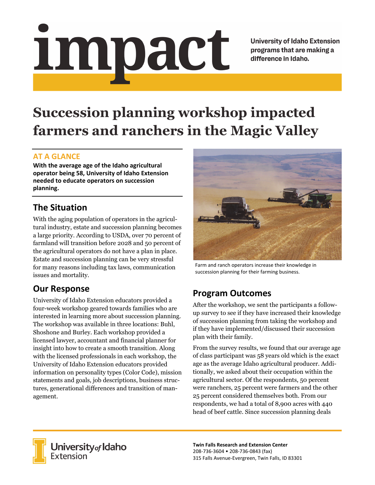impact

**University of Idaho Extension** programs that are making a difference in Idaho.

# **Succession planning workshop impacted farmers and ranchers in the Magic Valley**

#### **AT A GLANCE**

**With the average age of the Idaho agricultural operator being 58, University of Idaho Extension needed to educate operators on succession planning.**

### **The Situation**

With the aging population of operators in the agricultural industry, estate and succession planning becomes a large priority. According to USDA, over 70 percent of farmland will transition before 2028 and 50 percent of the agricultural operators do not have a plan in place. Estate and succession planning can be very stressful for many reasons including tax laws, communication issues and mortality.

## **Our Response**

University of Idaho Extension educators provided a four-week workshop geared towards families who are interested in learning more about succession planning. The workshop was available in three locations: Buhl, Shoshone and Burley. Each workshop provided a licensed lawyer, accountant and financial planner for insight into how to create a smooth transition. Along with the licensed professionals in each workshop, the University of Idaho Extension educators provided information on personality types (Color Code), mission statements and goals, job descriptions, business structures, generational differences and transition of management.



Farm and ranch operators increase their knowledge in succession planning for their farming business.

## **Program Outcomes**

After the workshop, we sent the participants a followup survey to see if they have increased their knowledge of succession planning from taking the workshop and if they have implemented/discussed their succession plan with their family.

From the survey results, we found that our average age of class participant was 58 years old which is the exact age as the average Idaho agricultural producer. Additionally, we asked about their occupation within the agricultural sector. Of the respondents, 50 percent were ranchers, 25 percent were farmers and the other 25 percent considered themselves both. From our respondents, we had a total of 8,900 acres with 440 head of beef cattle. Since succession planning deals



University of Idaho<br>Extension

**Twin Falls Research and Extension Center** 208‐736‐3604 • 208‐736‐0843 (fax) 315 Falls Avenue‐Evergreen, Twin Falls, ID 83301